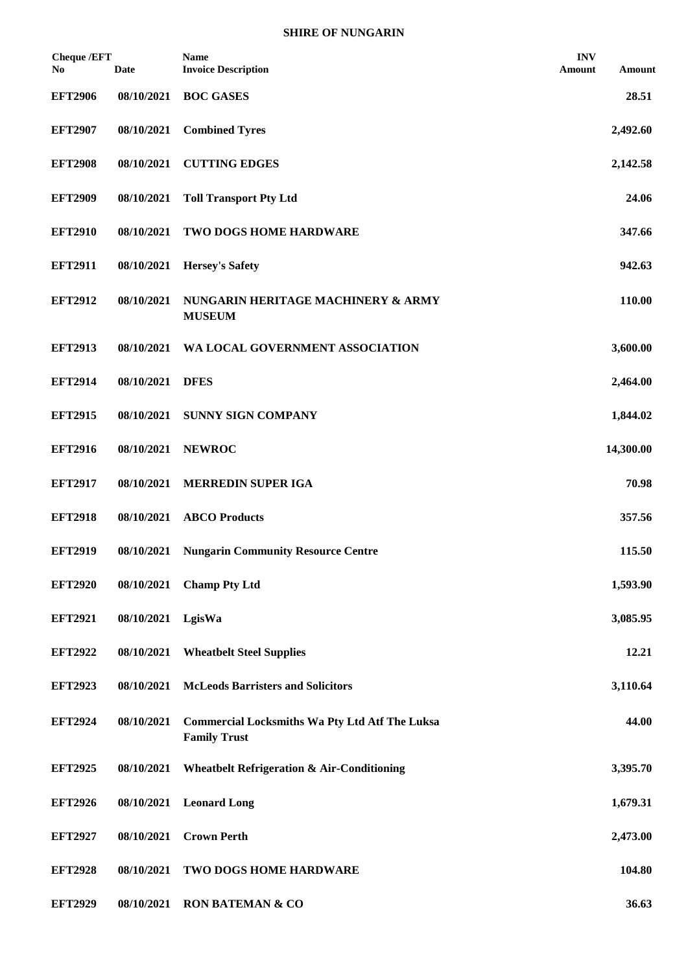| <b>Cheque /EFT</b><br>No | Date       | <b>Name</b><br><b>Invoice Description</b>                                    | <b>INV</b><br>Amount | Amount    |
|--------------------------|------------|------------------------------------------------------------------------------|----------------------|-----------|
| <b>EFT2906</b>           | 08/10/2021 | <b>BOC GASES</b>                                                             |                      | 28.51     |
| <b>EFT2907</b>           | 08/10/2021 | <b>Combined Tyres</b>                                                        |                      | 2,492.60  |
| <b>EFT2908</b>           | 08/10/2021 | <b>CUTTING EDGES</b>                                                         |                      | 2,142.58  |
| <b>EFT2909</b>           | 08/10/2021 | <b>Toll Transport Pty Ltd</b>                                                |                      | 24.06     |
| <b>EFT2910</b>           | 08/10/2021 | TWO DOGS HOME HARDWARE                                                       |                      | 347.66    |
| <b>EFT2911</b>           | 08/10/2021 | <b>Hersey's Safety</b>                                                       |                      | 942.63    |
| <b>EFT2912</b>           | 08/10/2021 | NUNGARIN HERITAGE MACHINERY & ARMY<br><b>MUSEUM</b>                          |                      | 110.00    |
| <b>EFT2913</b>           | 08/10/2021 | WA LOCAL GOVERNMENT ASSOCIATION                                              |                      | 3,600.00  |
| <b>EFT2914</b>           | 08/10/2021 | <b>DFES</b>                                                                  |                      | 2,464.00  |
| <b>EFT2915</b>           | 08/10/2021 | <b>SUNNY SIGN COMPANY</b>                                                    |                      | 1,844.02  |
| <b>EFT2916</b>           | 08/10/2021 | <b>NEWROC</b>                                                                |                      | 14,300.00 |
| <b>EFT2917</b>           | 08/10/2021 | <b>MERREDIN SUPER IGA</b>                                                    |                      | 70.98     |
| <b>EFT2918</b>           | 08/10/2021 | <b>ABCO</b> Products                                                         |                      | 357.56    |
| <b>EFT2919</b>           | 08/10/2021 | <b>Nungarin Community Resource Centre</b>                                    |                      | 115.50    |
| <b>EFT2920</b>           | 08/10/2021 | <b>Champ Pty Ltd</b>                                                         |                      | 1,593.90  |
| <b>EFT2921</b>           | 08/10/2021 | LgisWa                                                                       |                      | 3,085.95  |
| <b>EFT2922</b>           | 08/10/2021 | <b>Wheatbelt Steel Supplies</b>                                              |                      | 12.21     |
| <b>EFT2923</b>           | 08/10/2021 | <b>McLeods Barristers and Solicitors</b>                                     |                      | 3,110.64  |
| <b>EFT2924</b>           | 08/10/2021 | <b>Commercial Locksmiths Wa Pty Ltd Atf The Luksa</b><br><b>Family Trust</b> |                      | 44.00     |
| <b>EFT2925</b>           | 08/10/2021 | <b>Wheatbelt Refrigeration &amp; Air-Conditioning</b>                        |                      | 3,395.70  |
| <b>EFT2926</b>           | 08/10/2021 | <b>Leonard Long</b>                                                          |                      | 1,679.31  |
| <b>EFT2927</b>           | 08/10/2021 | <b>Crown Perth</b>                                                           |                      | 2,473.00  |
| <b>EFT2928</b>           | 08/10/2021 | TWO DOGS HOME HARDWARE                                                       |                      | 104.80    |
| <b>EFT2929</b>           | 08/10/2021 | <b>RON BATEMAN &amp; CO</b>                                                  |                      | 36.63     |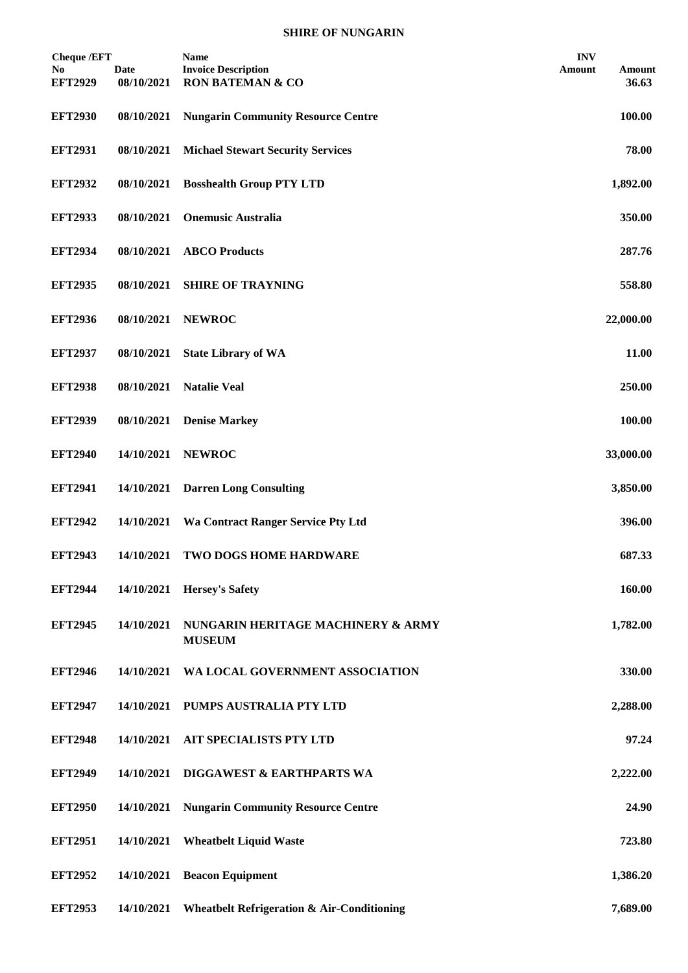## **SHIRE OF NUNGARIN**

| <b>Cheque /EFT</b>    |                           | <b>Name</b>                                               | <b>INV</b>                       |
|-----------------------|---------------------------|-----------------------------------------------------------|----------------------------------|
| No.<br><b>EFT2929</b> | <b>Date</b><br>08/10/2021 | <b>Invoice Description</b><br><b>RON BATEMAN &amp; CO</b> | <b>Amount</b><br>Amount<br>36.63 |
| <b>EFT2930</b>        | 08/10/2021                | <b>Nungarin Community Resource Centre</b>                 | 100.00                           |
| <b>EFT2931</b>        | 08/10/2021                | <b>Michael Stewart Security Services</b>                  | 78.00                            |
| <b>EFT2932</b>        | 08/10/2021                | <b>Bosshealth Group PTY LTD</b>                           | 1,892.00                         |
| <b>EFT2933</b>        | 08/10/2021                | <b>Onemusic Australia</b>                                 | 350.00                           |
| <b>EFT2934</b>        | 08/10/2021                | <b>ABCO</b> Products                                      | 287.76                           |
| <b>EFT2935</b>        | 08/10/2021                | <b>SHIRE OF TRAYNING</b>                                  | 558.80                           |
| <b>EFT2936</b>        | 08/10/2021                | <b>NEWROC</b>                                             | 22,000.00                        |
| <b>EFT2937</b>        | 08/10/2021                | <b>State Library of WA</b>                                | 11.00                            |
| <b>EFT2938</b>        | 08/10/2021                | <b>Natalie Veal</b>                                       | 250.00                           |
| <b>EFT2939</b>        | 08/10/2021                | <b>Denise Markey</b>                                      | 100.00                           |
| <b>EFT2940</b>        | 14/10/2021                | <b>NEWROC</b>                                             | 33,000.00                        |
| <b>EFT2941</b>        | 14/10/2021                | <b>Darren Long Consulting</b>                             | 3,850.00                         |
| <b>EFT2942</b>        | 14/10/2021                | <b>Wa Contract Ranger Service Pty Ltd</b>                 | 396.00                           |
| <b>EFT2943</b>        | 14/10/2021                | TWO DOGS HOME HARDWARE                                    | 687.33                           |
| <b>EFT2944</b>        | 14/10/2021                | <b>Hersey's Safety</b>                                    | 160.00                           |
| <b>EFT2945</b>        | 14/10/2021                | NUNGARIN HERITAGE MACHINERY & ARMY<br><b>MUSEUM</b>       | 1,782.00                         |
| <b>EFT2946</b>        | 14/10/2021                | WA LOCAL GOVERNMENT ASSOCIATION                           | 330.00                           |
| <b>EFT2947</b>        | 14/10/2021                | PUMPS AUSTRALIA PTY LTD                                   | 2,288.00                         |
| <b>EFT2948</b>        | 14/10/2021                | <b>AIT SPECIALISTS PTY LTD</b>                            | 97.24                            |
| <b>EFT2949</b>        | 14/10/2021                | DIGGAWEST & EARTHPARTS WA                                 | 2,222.00                         |
| <b>EFT2950</b>        | 14/10/2021                | <b>Nungarin Community Resource Centre</b>                 | 24.90                            |
| <b>EFT2951</b>        | 14/10/2021                | <b>Wheatbelt Liquid Waste</b>                             | 723.80                           |
| <b>EFT2952</b>        | 14/10/2021                | <b>Beacon Equipment</b>                                   | 1,386.20                         |
| <b>EFT2953</b>        | 14/10/2021                | <b>Wheatbelt Refrigeration &amp; Air-Conditioning</b>     | 7,689.00                         |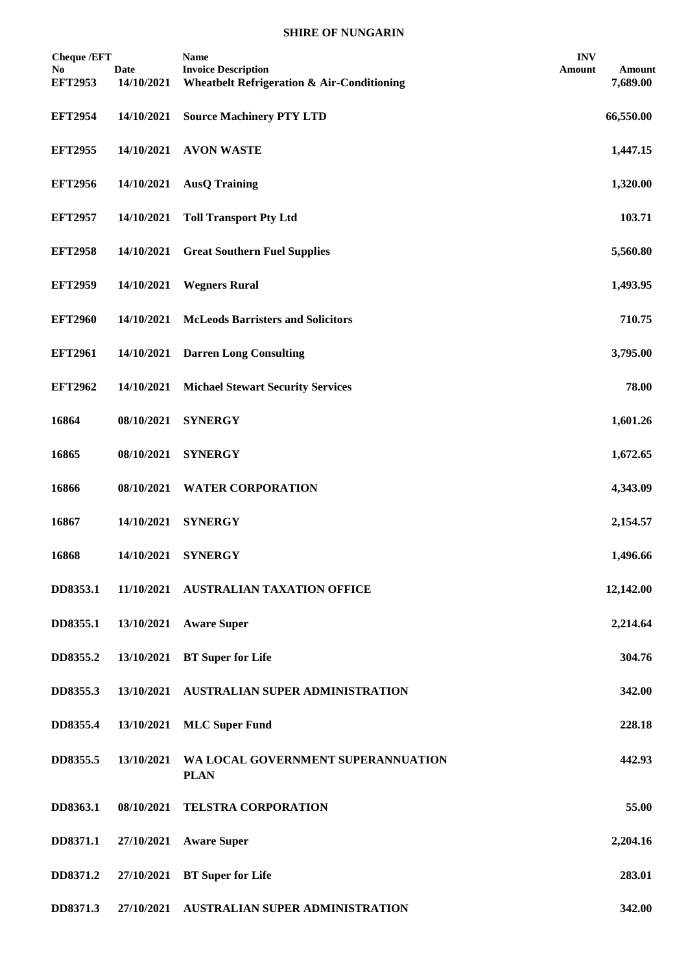## **SHIRE OF NUNGARIN**

| <b>Cheque /EFT</b><br>No.<br><b>EFT2953</b> | <b>Date</b><br>14/10/2021 | <b>Name</b><br><b>Invoice Description</b><br><b>Wheatbelt Refrigeration &amp; Air-Conditioning</b> | <b>INV</b><br>Amount | Amount<br>7,689.00 |
|---------------------------------------------|---------------------------|----------------------------------------------------------------------------------------------------|----------------------|--------------------|
| <b>EFT2954</b>                              | 14/10/2021                | <b>Source Machinery PTY LTD</b>                                                                    |                      | 66,550.00          |
| <b>EFT2955</b>                              | 14/10/2021                | <b>AVON WASTE</b>                                                                                  |                      | 1,447.15           |
| <b>EFT2956</b>                              | 14/10/2021                | <b>AusQ Training</b>                                                                               |                      | 1,320.00           |
| <b>EFT2957</b>                              | 14/10/2021                | <b>Toll Transport Pty Ltd</b>                                                                      |                      | 103.71             |
| <b>EFT2958</b>                              | 14/10/2021                | <b>Great Southern Fuel Supplies</b>                                                                |                      | 5,560.80           |
| <b>EFT2959</b>                              | 14/10/2021                | <b>Wegners Rural</b>                                                                               |                      | 1,493.95           |
| <b>EFT2960</b>                              | 14/10/2021                | <b>McLeods Barristers and Solicitors</b>                                                           |                      | 710.75             |
| <b>EFT2961</b>                              | 14/10/2021                | <b>Darren Long Consulting</b>                                                                      |                      | 3,795.00           |
| <b>EFT2962</b>                              | 14/10/2021                | <b>Michael Stewart Security Services</b>                                                           |                      | 78.00              |
| 16864                                       | 08/10/2021                | <b>SYNERGY</b>                                                                                     |                      | 1,601.26           |
| 16865                                       | 08/10/2021                | <b>SYNERGY</b>                                                                                     |                      | 1,672.65           |
| 16866                                       | 08/10/2021                | <b>WATER CORPORATION</b>                                                                           |                      | 4,343.09           |
| 16867                                       | 14/10/2021                | <b>SYNERGY</b>                                                                                     |                      | 2,154.57           |
| 16868                                       | 14/10/2021                | <b>SYNERGY</b>                                                                                     |                      | 1,496.66           |
| DD8353.1                                    |                           | 11/10/2021 AUSTRALIAN TAXATION OFFICE                                                              |                      | 12,142.00          |
| DD8355.1                                    | 13/10/2021                | <b>Aware Super</b>                                                                                 |                      | 2,214.64           |
| DD8355.2                                    | 13/10/2021                | <b>BT</b> Super for Life                                                                           |                      | 304.76             |
| DD8355.3                                    | 13/10/2021                | <b>AUSTRALIAN SUPER ADMINISTRATION</b>                                                             |                      | 342.00             |
| DD8355.4                                    | 13/10/2021                | <b>MLC</b> Super Fund                                                                              |                      | 228.18             |
| DD8355.5                                    | 13/10/2021                | WA LOCAL GOVERNMENT SUPERANNUATION<br><b>PLAN</b>                                                  |                      | 442.93             |
| DD8363.1                                    | 08/10/2021                | <b>TELSTRA CORPORATION</b>                                                                         |                      | 55.00              |
| DD8371.1                                    | 27/10/2021                | <b>Aware Super</b>                                                                                 |                      | 2,204.16           |
| DD8371.2                                    | 27/10/2021                | <b>BT</b> Super for Life                                                                           |                      | 283.01             |
| DD8371.3                                    |                           | 27/10/2021 AUSTRALIAN SUPER ADMINISTRATION                                                         |                      | 342.00             |